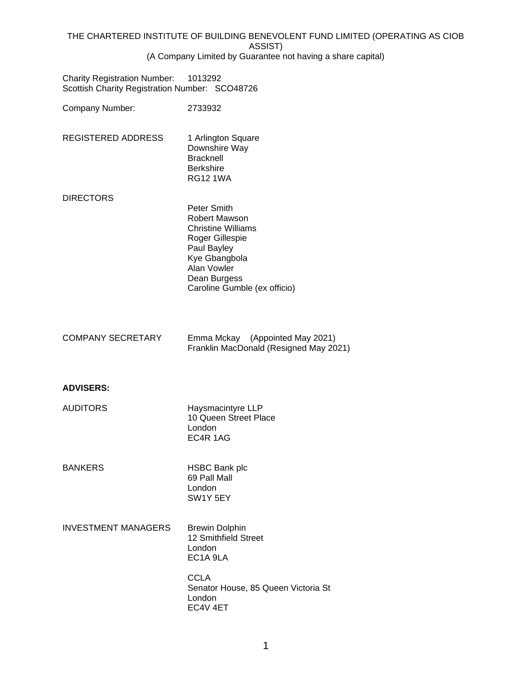|                                                                                       | (A Company Limited by Guarantee not having a share                                                                                                                                 |
|---------------------------------------------------------------------------------------|------------------------------------------------------------------------------------------------------------------------------------------------------------------------------------|
| <b>Charity Registration Number:</b><br>Scottish Charity Registration Number: SCO48726 | 1013292                                                                                                                                                                            |
| Company Number:                                                                       | 2733932                                                                                                                                                                            |
| <b>REGISTERED ADDRESS</b>                                                             | 1 Arlington Square<br>Downshire Way<br><b>Bracknell</b><br><b>Berkshire</b><br><b>RG12 1WA</b>                                                                                     |
| <b>DIRECTORS</b>                                                                      |                                                                                                                                                                                    |
|                                                                                       | Peter Smith<br><b>Robert Mawson</b><br><b>Christine Williams</b><br>Roger Gillespie<br>Paul Bayley<br>Kye Gbangbola<br>Alan Vowler<br>Dean Burgess<br>Caroline Gumble (ex officio) |
| <b>COMPANY SECRETARY</b>                                                              | Emma Mckay (Appointed May 2021)<br>Franklin MacDonald (Resigned May 2021)                                                                                                          |
| <b>ADVISERS:</b>                                                                      |                                                                                                                                                                                    |
| <b>AUDITORS</b>                                                                       | Haysmacintyre LLP<br>10 Queen Street Place<br>London<br>EC4R 1AG                                                                                                                   |
| <b>BANKERS</b>                                                                        | <b>HSBC Bank plc</b><br>69 Pall Mall<br>London<br>SW1Y 5EY                                                                                                                         |
| <b>INVESTMENT MANAGERS</b>                                                            | <b>Brewin Dolphin</b><br>12 Smithfield Street<br>London                                                                                                                            |

**CCLA** Senator House, 85 Queen Victoria St London EC4V 4ET

EC1A 9LA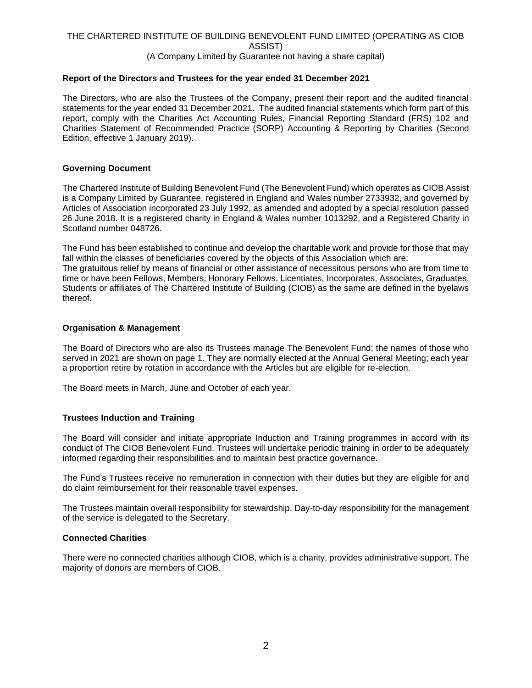### (A Company Limited by Guarantee not having a share capital)

## **Report of the Directors and Trustees for the year ended 31 December 2021**

The Directors, who are also the Trustees of the Company, present their report and the audited financial statements for the year ended 31 December 2021. The audited financial statements which form part of this report, comply with the Charities Act Accounting Rules, Financial Reporting Standard (FRS) 102 and Charities Statement of Recommended Practice (SORP) Accounting & Reporting by Charities (Second Edition, effective 1 January 2019).

# **Governing Document**

The Chartered Institute of Building Benevolent Fund (The Benevolent Fund) which operates as CIOB Assist is a Company Limited by Guarantee, registered in England and Wales number 2733932, and governed by Articles of Association incorporated 23 July 1992, as amended and adopted by a special resolution passed 26 June 2018. It is a registered charity in England & Wales number 1013292, and a Registered Charity in Scotland number 048726.

The Fund has been established to continue and develop the charitable work and provide for those that may fall within the classes of beneficiaries covered by the objects of this Association which are: The gratuitous relief by means of financial or other assistance of necessitous persons who are from time to time or have been Fellows, Members, Honorary Fellows, Licentiates, Incorporates, Associates, Graduates, Students or affiliates of The Chartered Institute of Building (CIOB) as the same are defined in the byelaws thereof.

#### **Organisation & Management**

The Board of Directors who are also its Trustees manage The Benevolent Fund; the names of those who served in 2021 are shown on page 1. They are normally elected at the Annual General Meeting; each year a proportion retire by rotation in accordance with the Articles but are eligible for re-election.

The Board meets in March, June and October of each year.

## **Trustees Induction and Training**

The Board will consider and initiate appropriate Induction and Training programmes in accord with its conduct of The CIOB Benevolent Fund. Trustees will undertake periodic training in order to be adequately informed regarding their responsibilities and to maintain best practice governance.

The Fund's Trustees receive no remuneration in connection with their duties but they are eligible for and do claim reimbursement for their reasonable travel expenses.

The Trustees maintain overall responsibility for stewardship. Day-to-day responsibility for the management of the service is delegated to the Secretary.

#### **Connected Charities**

There were no connected charities although CIOB, which is a charity, provides administrative support. The majority of donors are members of CIOB.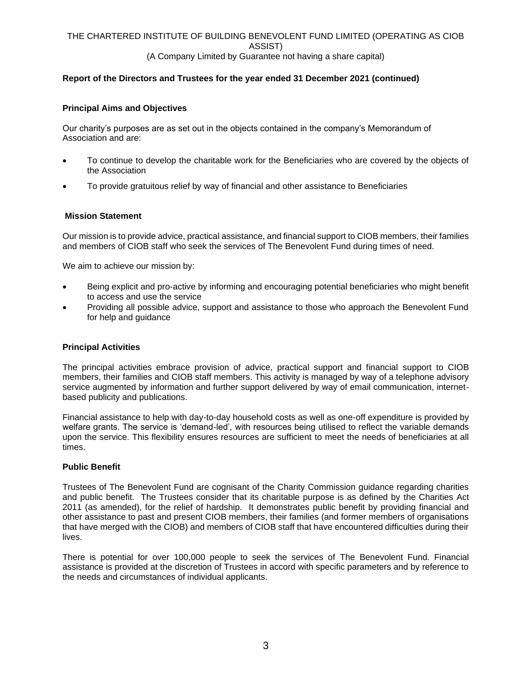# **Report of the Directors and Trustees for the year ended 31 December 2021 (continued)**

## **Principal Aims and Objectives**

Our charity's purposes are as set out in the objects contained in the company's Memorandum of Association and are:

- To continue to develop the charitable work for the Beneficiaries who are covered by the objects of the Association
- To provide gratuitous relief by way of financial and other assistance to Beneficiaries

# **Mission Statement**

Our mission is to provide advice, practical assistance, and financial support to CIOB members, their families and members of CIOB staff who seek the services of The Benevolent Fund during times of need.

We aim to achieve our mission by:

- Being explicit and pro-active by informing and encouraging potential beneficiaries who might benefit to access and use the service
- Providing all possible advice, support and assistance to those who approach the Benevolent Fund for help and guidance

## **Principal Activities**

The principal activities embrace provision of advice, practical support and financial support to CIOB members, their families and CIOB staff members. This activity is managed by way of a telephone advisory service augmented by information and further support delivered by way of email communication, internetbased publicity and publications.

Financial assistance to help with day-to-day household costs as well as one-off expenditure is provided by welfare grants. The service is 'demand-led', with resources being utilised to reflect the variable demands upon the service. This flexibility ensures resources are sufficient to meet the needs of beneficiaries at all times.

## **Public Benefit**

Trustees of The Benevolent Fund are cognisant of the Charity Commission guidance regarding charities and public benefit. The Trustees consider that its charitable purpose is as defined by the Charities Act 2011 (as amended), for the relief of hardship. It demonstrates public benefit by providing financial and other assistance to past and present CIOB members, their families (and former members of organisations that have merged with the CIOB) and members of CIOB staff that have encountered difficulties during their lives.

There is potential for over 100,000 people to seek the services of The Benevolent Fund. Financial assistance is provided at the discretion of Trustees in accord with specific parameters and by reference to the needs and circumstances of individual applicants.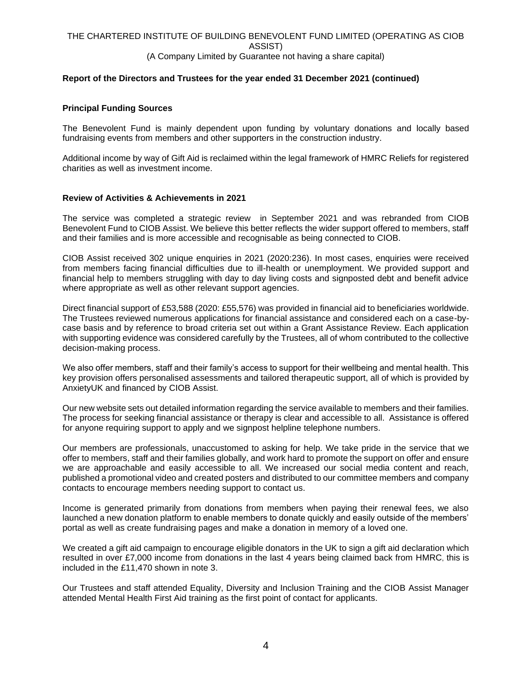# (A Company Limited by Guarantee not having a share capital)

# **Report of the Directors and Trustees for the year ended 31 December 2021 (continued)**

## **Principal Funding Sources**

The Benevolent Fund is mainly dependent upon funding by voluntary donations and locally based fundraising events from members and other supporters in the construction industry.

Additional income by way of Gift Aid is reclaimed within the legal framework of HMRC Reliefs for registered charities as well as investment income.

# **Review of Activities & Achievements in 2021**

The service was completed a strategic review in September 2021 and was rebranded from CIOB Benevolent Fund to CIOB Assist. We believe this better reflects the wider support offered to members, staff and their families and is more accessible and recognisable as being connected to CIOB.

CIOB Assist received 302 unique enquiries in 2021 (2020:236). In most cases, enquiries were received from members facing financial difficulties due to ill-health or unemployment. We provided support and financial help to members struggling with day to day living costs and signposted debt and benefit advice where appropriate as well as other relevant support agencies.

Direct financial support of £53,588 (2020: £55,576) was provided in financial aid to beneficiaries worldwide. The Trustees reviewed numerous applications for financial assistance and considered each on a case-bycase basis and by reference to broad criteria set out within a Grant Assistance Review. Each application with supporting evidence was considered carefully by the Trustees, all of whom contributed to the collective decision-making process.

We also offer members, staff and their family's access to support for their wellbeing and mental health. This key provision offers personalised assessments and tailored therapeutic support, all of which is provided by AnxietyUK and financed by CIOB Assist.

Our new website sets out detailed information regarding the service available to members and their families. The process for seeking financial assistance or therapy is clear and accessible to all. Assistance is offered for anyone requiring support to apply and we signpost helpline telephone numbers.

Our members are professionals, unaccustomed to asking for help. We take pride in the service that we offer to members, staff and their families globally, and work hard to promote the support on offer and ensure we are approachable and easily accessible to all. We increased our social media content and reach, published a promotional video and created posters and distributed to our committee members and company contacts to encourage members needing support to contact us.

Income is generated primarily from donations from members when paying their renewal fees, we also launched a new donation platform to enable members to donate quickly and easily outside of the members' portal as well as create fundraising pages and make a donation in memory of a loved one.

We created a gift aid campaign to encourage eligible donators in the UK to sign a gift aid declaration which resulted in over £7,000 income from donations in the last 4 years being claimed back from HMRC, this is included in the £11,470 shown in note 3.

Our Trustees and staff attended Equality, Diversity and Inclusion Training and the CIOB Assist Manager attended Mental Health First Aid training as the first point of contact for applicants.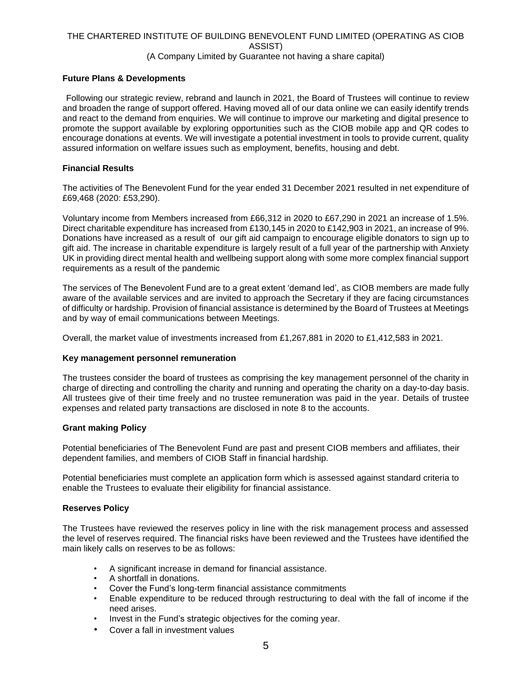# (A Company Limited by Guarantee not having a share capital)

# **Future Plans & Developments**

Following our strategic review, rebrand and launch in 2021, the Board of Trustees will continue to review and broaden the range of support offered. Having moved all of our data online we can easily identify trends and react to the demand from enquiries. We will continue to improve our marketing and digital presence to promote the support available by exploring opportunities such as the CIOB mobile app and QR codes to encourage donations at events. We will investigate a potential investment in tools to provide current, quality assured information on welfare issues such as employment, benefits, housing and debt.

# **Financial Results**

The activities of The Benevolent Fund for the year ended 31 December 2021 resulted in net expenditure of £69,468 (2020: £53,290).

Voluntary income from Members increased from £66,312 in 2020 to £67,290 in 2021 an increase of 1.5%. Direct charitable expenditure has increased from £130,145 in 2020 to £142,903 in 2021, an increase of 9%. Donations have increased as a result of our gift aid campaign to encourage eligible donators to sign up to gift aid. The increase in charitable expenditure is largely result of a full year of the partnership with Anxiety UK in providing direct mental health and wellbeing support along with some more complex financial support requirements as a result of the pandemic

The services of The Benevolent Fund are to a great extent 'demand led', as CIOB members are made fully aware of the available services and are invited to approach the Secretary if they are facing circumstances of difficulty or hardship. Provision of financial assistance is determined by the Board of Trustees at Meetings and by way of email communications between Meetings.

Overall, the market value of investments increased from £1,267,881 in 2020 to £1,412,583 in 2021.

## **Key management personnel remuneration**

The trustees consider the board of trustees as comprising the key management personnel of the charity in charge of directing and controlling the charity and running and operating the charity on a day-to-day basis. All trustees give of their time freely and no trustee remuneration was paid in the year. Details of trustee expenses and related party transactions are disclosed in note 8 to the accounts.

# **Grant making Policy**

Potential beneficiaries of The Benevolent Fund are past and present CIOB members and affiliates, their dependent families, and members of CIOB Staff in financial hardship.

Potential beneficiaries must complete an application form which is assessed against standard criteria to enable the Trustees to evaluate their eligibility for financial assistance.

## **Reserves Policy**

The Trustees have reviewed the reserves policy in line with the risk management process and assessed the level of reserves required. The financial risks have been reviewed and the Trustees have identified the main likely calls on reserves to be as follows:

- A significant increase in demand for financial assistance.
- A shortfall in donations.
- Cover the Fund's long-term financial assistance commitments
- Enable expenditure to be reduced through restructuring to deal with the fall of income if the need arises.
- Invest in the Fund's strategic objectives for the coming year.
- Cover a fall in investment values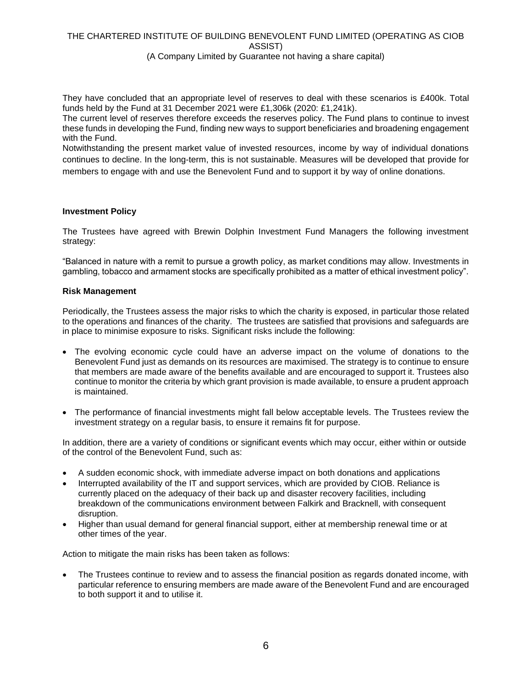(A Company Limited by Guarantee not having a share capital)

They have concluded that an appropriate level of reserves to deal with these scenarios is £400k. Total funds held by the Fund at 31 December 2021 were £1,306k (2020: £1,241k).

The current level of reserves therefore exceeds the reserves policy. The Fund plans to continue to invest these funds in developing the Fund, finding new ways to support beneficiaries and broadening engagement with the Fund.

Notwithstanding the present market value of invested resources, income by way of individual donations continues to decline. In the long-term, this is not sustainable. Measures will be developed that provide for members to engage with and use the Benevolent Fund and to support it by way of online donations.

## **Investment Policy**

The Trustees have agreed with Brewin Dolphin Investment Fund Managers the following investment strategy:

"Balanced in nature with a remit to pursue a growth policy, as market conditions may allow. Investments in gambling, tobacco and armament stocks are specifically prohibited as a matter of ethical investment policy".

## **Risk Management**

Periodically, the Trustees assess the major risks to which the charity is exposed, in particular those related to the operations and finances of the charity. The trustees are satisfied that provisions and safeguards are in place to minimise exposure to risks. Significant risks include the following:

- The evolving economic cycle could have an adverse impact on the volume of donations to the Benevolent Fund just as demands on its resources are maximised. The strategy is to continue to ensure that members are made aware of the benefits available and are encouraged to support it. Trustees also continue to monitor the criteria by which grant provision is made available, to ensure a prudent approach is maintained.
- The performance of financial investments might fall below acceptable levels. The Trustees review the investment strategy on a regular basis, to ensure it remains fit for purpose.

In addition, there are a variety of conditions or significant events which may occur, either within or outside of the control of the Benevolent Fund, such as:

- A sudden economic shock, with immediate adverse impact on both donations and applications
- Interrupted availability of the IT and support services, which are provided by CIOB. Reliance is currently placed on the adequacy of their back up and disaster recovery facilities, including breakdown of the communications environment between Falkirk and Bracknell, with consequent disruption.
- Higher than usual demand for general financial support, either at membership renewal time or at other times of the year.

Action to mitigate the main risks has been taken as follows:

The Trustees continue to review and to assess the financial position as regards donated income, with particular reference to ensuring members are made aware of the Benevolent Fund and are encouraged to both support it and to utilise it.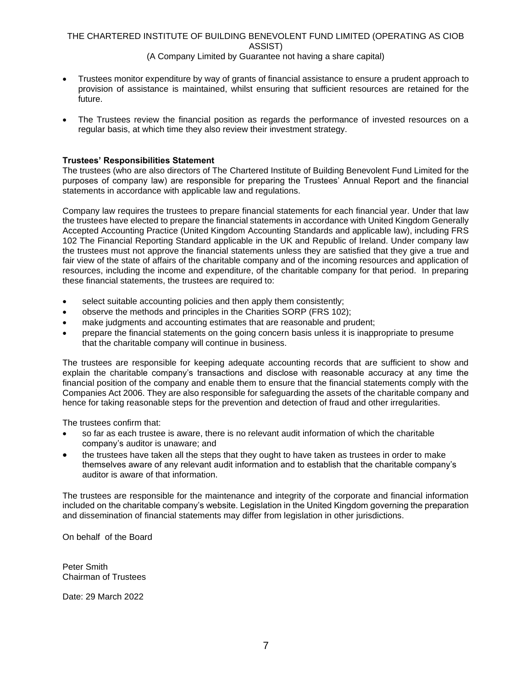# (A Company Limited by Guarantee not having a share capital)

- Trustees monitor expenditure by way of grants of financial assistance to ensure a prudent approach to provision of assistance is maintained, whilst ensuring that sufficient resources are retained for the future.
- The Trustees review the financial position as regards the performance of invested resources on a regular basis, at which time they also review their investment strategy.

# **Trustees' Responsibilities Statement**

The trustees (who are also directors of The Chartered Institute of Building Benevolent Fund Limited for the purposes of company law) are responsible for preparing the Trustees' Annual Report and the financial statements in accordance with applicable law and regulations.

Company law requires the trustees to prepare financial statements for each financial year. Under that law the trustees have elected to prepare the financial statements in accordance with United Kingdom Generally Accepted Accounting Practice (United Kingdom Accounting Standards and applicable law), including FRS 102 The Financial Reporting Standard applicable in the UK and Republic of Ireland. Under company law the trustees must not approve the financial statements unless they are satisfied that they give a true and fair view of the state of affairs of the charitable company and of the incoming resources and application of resources, including the income and expenditure, of the charitable company for that period. In preparing these financial statements, the trustees are required to:

- select suitable accounting policies and then apply them consistently;
- observe the methods and principles in the Charities SORP (FRS 102);
- make judgments and accounting estimates that are reasonable and prudent;
- prepare the financial statements on the going concern basis unless it is inappropriate to presume that the charitable company will continue in business.

The trustees are responsible for keeping adequate accounting records that are sufficient to show and explain the charitable company's transactions and disclose with reasonable accuracy at any time the financial position of the company and enable them to ensure that the financial statements comply with the Companies Act 2006. They are also responsible for safeguarding the assets of the charitable company and hence for taking reasonable steps for the prevention and detection of fraud and other irregularities.

The trustees confirm that:

- so far as each trustee is aware, there is no relevant audit information of which the charitable company's auditor is unaware; and
- the trustees have taken all the steps that they ought to have taken as trustees in order to make themselves aware of any relevant audit information and to establish that the charitable company's auditor is aware of that information.

The trustees are responsible for the maintenance and integrity of the corporate and financial information included on the charitable company's website. Legislation in the United Kingdom governing the preparation and dissemination of financial statements may differ from legislation in other jurisdictions.

On behalf of the Board

Peter Smith Chairman of Trustees

Date: 29 March 2022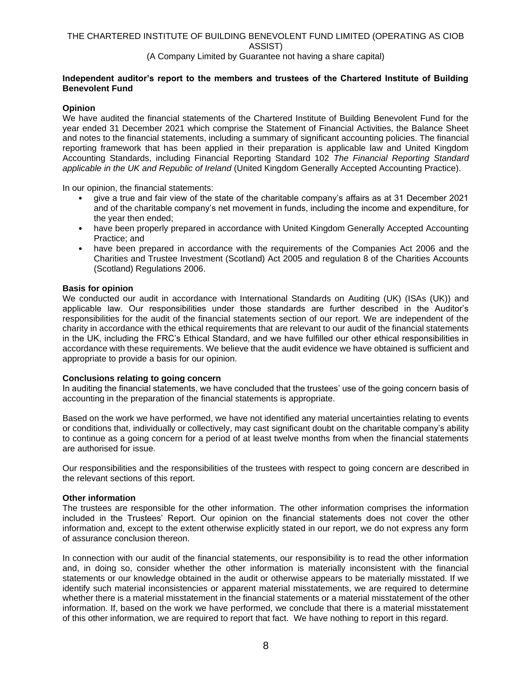# (A Company Limited by Guarantee not having a share capital)

# **Independent auditor's report to the members and trustees of the Chartered Institute of Building Benevolent Fund**

# **Opinion**

We have audited the financial statements of the Chartered Institute of Building Benevolent Fund for the year ended 31 December 2021 which comprise the Statement of Financial Activities, the Balance Sheet and notes to the financial statements, including a summary of significant accounting policies. The financial reporting framework that has been applied in their preparation is applicable law and United Kingdom Accounting Standards, including Financial Reporting Standard 102 *The Financial Reporting Standard applicable in the UK and Republic of Ireland* (United Kingdom Generally Accepted Accounting Practice).

In our opinion, the financial statements:

- give a true and fair view of the state of the charitable company's affairs as at 31 December 2021 and of the charitable company's net movement in funds, including the income and expenditure, for the year then ended;
- have been properly prepared in accordance with United Kingdom Generally Accepted Accounting Practice; and
- have been prepared in accordance with the requirements of the Companies Act 2006 and the Charities and Trustee Investment (Scotland) Act 2005 and regulation 8 of the Charities Accounts (Scotland) Regulations 2006.

## **Basis for opinion**

We conducted our audit in accordance with International Standards on Auditing (UK) (ISAs (UK)) and applicable law. Our responsibilities under those standards are further described in the Auditor's responsibilities for the audit of the financial statements section of our report. We are independent of the charity in accordance with the ethical requirements that are relevant to our audit of the financial statements in the UK, including the FRC's Ethical Standard, and we have fulfilled our other ethical responsibilities in accordance with these requirements. We believe that the audit evidence we have obtained is sufficient and appropriate to provide a basis for our opinion.

## **Conclusions relating to going concern**

In auditing the financial statements, we have concluded that the trustees' use of the going concern basis of accounting in the preparation of the financial statements is appropriate.

Based on the work we have performed, we have not identified any material uncertainties relating to events or conditions that, individually or collectively, may cast significant doubt on the charitable company's ability to continue as a going concern for a period of at least twelve months from when the financial statements are authorised for issue.

Our responsibilities and the responsibilities of the trustees with respect to going concern are described in the relevant sections of this report.

## **Other information**

The trustees are responsible for the other information. The other information comprises the information included in the Trustees' Report. Our opinion on the financial statements does not cover the other information and, except to the extent otherwise explicitly stated in our report, we do not express any form of assurance conclusion thereon.

In connection with our audit of the financial statements, our responsibility is to read the other information and, in doing so, consider whether the other information is materially inconsistent with the financial statements or our knowledge obtained in the audit or otherwise appears to be materially misstated. If we identify such material inconsistencies or apparent material misstatements, we are required to determine whether there is a material misstatement in the financial statements or a material misstatement of the other information. If, based on the work we have performed, we conclude that there is a material misstatement of this other information, we are required to report that fact. We have nothing to report in this regard.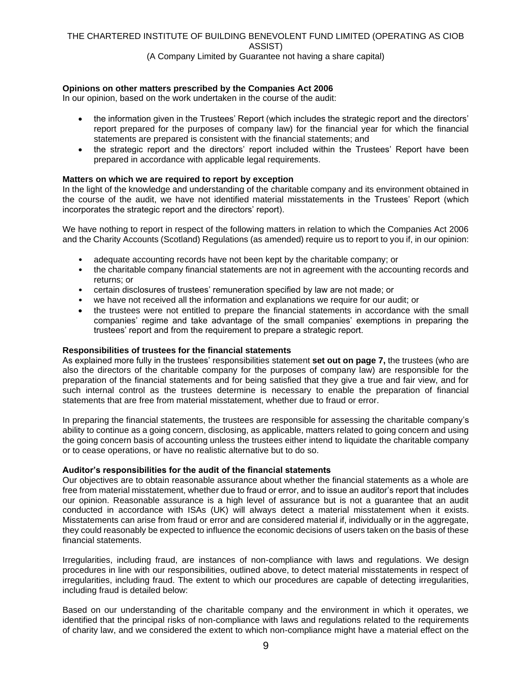# (A Company Limited by Guarantee not having a share capital)

# **Opinions on other matters prescribed by the Companies Act 2006**

In our opinion, based on the work undertaken in the course of the audit:

- the information given in the Trustees' Report (which includes the strategic report and the directors' report prepared for the purposes of company law) for the financial year for which the financial statements are prepared is consistent with the financial statements; and
- the strategic report and the directors' report included within the Trustees' Report have been prepared in accordance with applicable legal requirements.

#### **Matters on which we are required to report by exception**

In the light of the knowledge and understanding of the charitable company and its environment obtained in the course of the audit, we have not identified material misstatements in the Trustees' Report (which incorporates the strategic report and the directors' report).

We have nothing to report in respect of the following matters in relation to which the Companies Act 2006 and the Charity Accounts (Scotland) Regulations (as amended) require us to report to you if, in our opinion:

- adequate accounting records have not been kept by the charitable company; or
- the charitable company financial statements are not in agreement with the accounting records and returns; or
- certain disclosures of trustees' remuneration specified by law are not made; or
- we have not received all the information and explanations we require for our audit; or
- the trustees were not entitled to prepare the financial statements in accordance with the small companies' regime and take advantage of the small companies' exemptions in preparing the trustees' report and from the requirement to prepare a strategic report.

#### **Responsibilities of trustees for the financial statements**

As explained more fully in the trustees' responsibilities statement **set out on page 7,** the trustees (who are also the directors of the charitable company for the purposes of company law) are responsible for the preparation of the financial statements and for being satisfied that they give a true and fair view, and for such internal control as the trustees determine is necessary to enable the preparation of financial statements that are free from material misstatement, whether due to fraud or error.

In preparing the financial statements, the trustees are responsible for assessing the charitable company's ability to continue as a going concern, disclosing, as applicable, matters related to going concern and using the going concern basis of accounting unless the trustees either intend to liquidate the charitable company or to cease operations, or have no realistic alternative but to do so.

#### **Auditor's responsibilities for the audit of the financial statements**

Our objectives are to obtain reasonable assurance about whether the financial statements as a whole are free from material misstatement, whether due to fraud or error, and to issue an auditor's report that includes our opinion. Reasonable assurance is a high level of assurance but is not a guarantee that an audit conducted in accordance with ISAs (UK) will always detect a material misstatement when it exists. Misstatements can arise from fraud or error and are considered material if, individually or in the aggregate, they could reasonably be expected to influence the economic decisions of users taken on the basis of these financial statements.

Irregularities, including fraud, are instances of non-compliance with laws and regulations. We design procedures in line with our responsibilities, outlined above, to detect material misstatements in respect of irregularities, including fraud. The extent to which our procedures are capable of detecting irregularities, including fraud is detailed below:

Based on our understanding of the charitable company and the environment in which it operates, we identified that the principal risks of non-compliance with laws and regulations related to the requirements of charity law, and we considered the extent to which non-compliance might have a material effect on the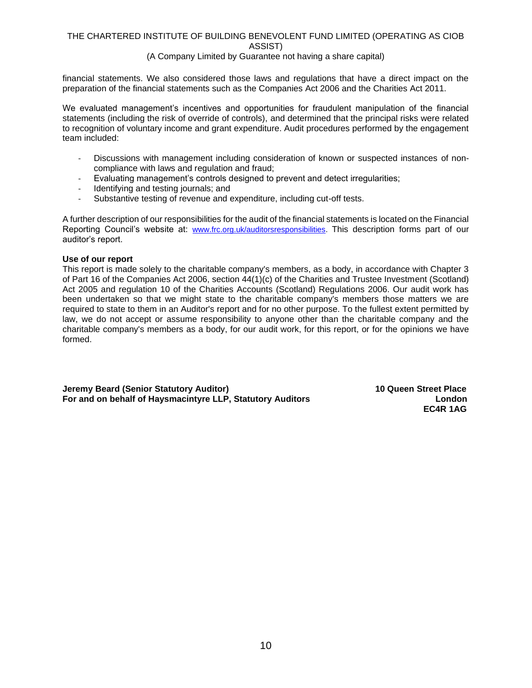## (A Company Limited by Guarantee not having a share capital)

financial statements. We also considered those laws and regulations that have a direct impact on the preparation of the financial statements such as the Companies Act 2006 and the Charities Act 2011.

We evaluated management's incentives and opportunities for fraudulent manipulation of the financial statements (including the risk of override of controls), and determined that the principal risks were related to recognition of voluntary income and grant expenditure. Audit procedures performed by the engagement team included:

- Discussions with management including consideration of known or suspected instances of noncompliance with laws and regulation and fraud;
- Evaluating management's controls designed to prevent and detect irregularities;
- Identifying and testing journals; and
- Substantive testing of revenue and expenditure, including cut-off tests.

A further description of our responsibilities for the audit of the financial statements is located on the Financial Reporting Council's website at: [www.frc.org.uk/auditorsresponsibilities.](http://www.frc.org.uk/auditorsresponsibilities) This description forms part of our auditor's report.

## **Use of our report**

This report is made solely to the charitable company's members, as a body, in accordance with Chapter 3 of Part 16 of the Companies Act 2006, section 44(1)(c) of the Charities and Trustee Investment (Scotland) Act 2005 and regulation 10 of the Charities Accounts (Scotland) Regulations 2006. Our audit work has been undertaken so that we might state to the charitable company's members those matters we are required to state to them in an Auditor's report and for no other purpose. To the fullest extent permitted by law, we do not accept or assume responsibility to anyone other than the charitable company and the charitable company's members as a body, for our audit work, for this report, or for the opinions we have formed.

**Jeremy Beard (Senior Statutory Auditor) 10 Queen Street Place For and on behalf of Haysmacintyre LLP, Statutory Auditors London** 

 **EC4R 1AG**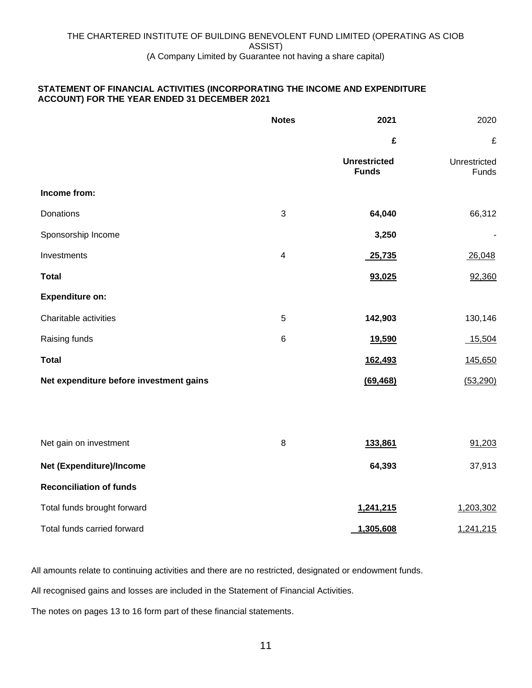# **STATEMENT OF FINANCIAL ACTIVITIES (INCORPORATING THE INCOME AND EXPENDITURE ACCOUNT) FOR THE YEAR ENDED 31 DECEMBER 2021**

|                                         | <b>Notes</b> | 2021                                | 2020                  |
|-----------------------------------------|--------------|-------------------------------------|-----------------------|
|                                         |              | £                                   | £                     |
|                                         |              | <b>Unrestricted</b><br><b>Funds</b> | Unrestricted<br>Funds |
| Income from:                            |              |                                     |                       |
| Donations                               | 3            | 64,040                              | 66,312                |
| Sponsorship Income                      |              | 3,250                               |                       |
| Investments                             | 4            | 25,735                              | 26,048                |
| <b>Total</b>                            |              | 93,025                              | 92,360                |
| <b>Expenditure on:</b>                  |              |                                     |                       |
| Charitable activities                   | 5            | 142,903                             | 130,146               |
| Raising funds                           | $\,6$        | 19,590                              | 15,504                |
| <b>Total</b>                            |              | 162,493                             | 145,650               |
| Net expenditure before investment gains |              | (69, 468)                           | (53, 290)             |
|                                         |              |                                     |                       |
| Net gain on investment                  | $\bf 8$      | 133,861                             | 91,203                |
| Net (Expenditure)/Income                |              | 64,393                              | 37,913                |
| <b>Reconciliation of funds</b>          |              |                                     |                       |
| Total funds brought forward             |              | 1,241,215                           | 1,203,302             |
| Total funds carried forward             |              | 1,305,608                           | 1,241,215             |

All amounts relate to continuing activities and there are no restricted, designated or endowment funds.

All recognised gains and losses are included in the Statement of Financial Activities.

The notes on pages 13 to 16 form part of these financial statements.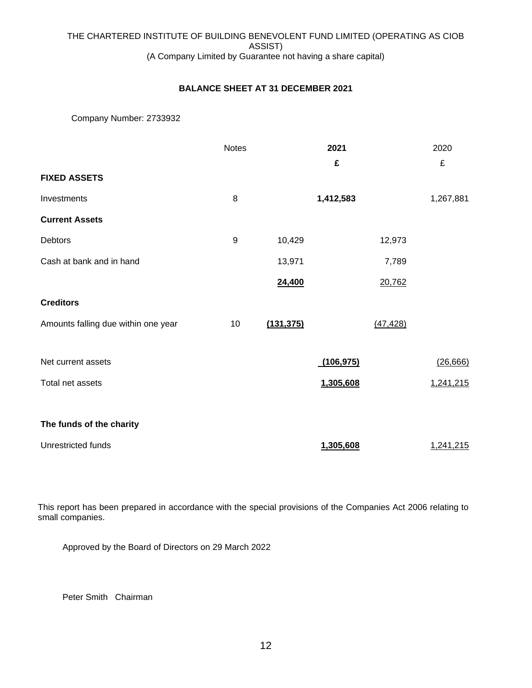# **BALANCE SHEET AT 31 DECEMBER 2021**

# Company Number: 2733932

|                                     | <b>Notes</b> |            | 2021       |           | 2020      |
|-------------------------------------|--------------|------------|------------|-----------|-----------|
| <b>FIXED ASSETS</b>                 |              |            | £          |           | £         |
| Investments                         | 8            |            | 1,412,583  |           | 1,267,881 |
| <b>Current Assets</b>               |              |            |            |           |           |
| Debtors                             | 9            | 10,429     |            | 12,973    |           |
| Cash at bank and in hand            |              | 13,971     |            | 7,789     |           |
|                                     |              | 24,400     |            | 20,762    |           |
| <b>Creditors</b>                    |              |            |            |           |           |
| Amounts falling due within one year | 10           | (131, 375) |            | (47, 428) |           |
|                                     |              |            |            |           |           |
| Net current assets                  |              |            | (106, 975) |           | (26, 666) |
| Total net assets                    |              |            | 1,305,608  |           | 1,241,215 |
|                                     |              |            |            |           |           |
| The funds of the charity            |              |            |            |           |           |
| Unrestricted funds                  |              |            | 1,305,608  |           | 1,241,215 |

This report has been prepared in accordance with the special provisions of the Companies Act 2006 relating to small companies.

Approved by the Board of Directors on 29 March 2022

Peter Smith Chairman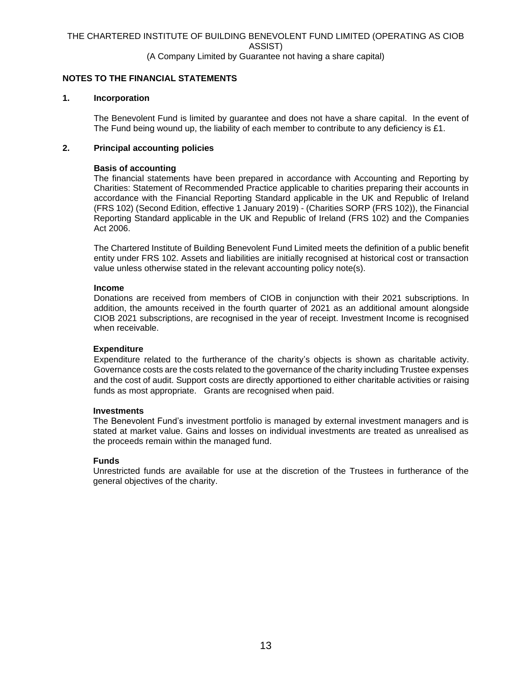# **NOTES TO THE FINANCIAL STATEMENTS**

### **1. Incorporation**

The Benevolent Fund is limited by guarantee and does not have a share capital. In the event of The Fund being wound up, the liability of each member to contribute to any deficiency is £1.

# **2. Principal accounting policies**

#### **Basis of accounting**

The financial statements have been prepared in accordance with Accounting and Reporting by Charities: Statement of Recommended Practice applicable to charities preparing their accounts in accordance with the Financial Reporting Standard applicable in the UK and Republic of Ireland (FRS 102) (Second Edition, effective 1 January 2019) - (Charities SORP (FRS 102)), the Financial Reporting Standard applicable in the UK and Republic of Ireland (FRS 102) and the Companies Act 2006.

The Chartered Institute of Building Benevolent Fund Limited meets the definition of a public benefit entity under FRS 102. Assets and liabilities are initially recognised at historical cost or transaction value unless otherwise stated in the relevant accounting policy note(s).

#### **Income**

Donations are received from members of CIOB in conjunction with their 2021 subscriptions. In addition, the amounts received in the fourth quarter of 2021 as an additional amount alongside CIOB 2021 subscriptions, are recognised in the year of receipt. Investment Income is recognised when receivable.

### **Expenditure**

Expenditure related to the furtherance of the charity's objects is shown as charitable activity. Governance costs are the costs related to the governance of the charity including Trustee expenses and the cost of audit. Support costs are directly apportioned to either charitable activities or raising funds as most appropriate. Grants are recognised when paid.

#### **Investments**

The Benevolent Fund's investment portfolio is managed by external investment managers and is stated at market value. Gains and losses on individual investments are treated as unrealised as the proceeds remain within the managed fund.

#### **Funds**

Unrestricted funds are available for use at the discretion of the Trustees in furtherance of the general objectives of the charity.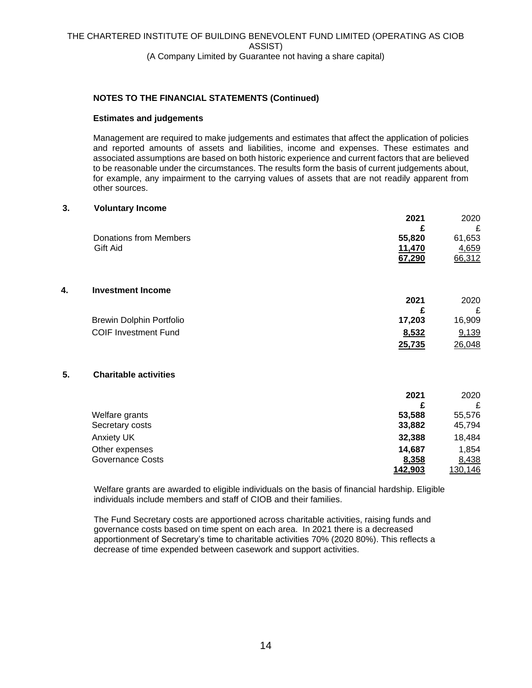# **NOTES TO THE FINANCIAL STATEMENTS (Continued)**

# **Estimates and judgements**

Management are required to make judgements and estimates that affect the application of policies and reported amounts of assets and liabilities, income and expenses. These estimates and associated assumptions are based on both historic experience and current factors that are believed to be reasonable under the circumstances. The results form the basis of current judgements about, for example, any impairment to the carrying values of assets that are not readily apparent from other sources.

## **3. Voluntary Income**

|    |                                 | 2021   | 2020   |
|----|---------------------------------|--------|--------|
|    |                                 | £      | £      |
|    | <b>Donations from Members</b>   | 55,820 | 61,653 |
|    | Gift Aid                        | 11,470 | 4,659  |
|    |                                 | 67,290 | 66,312 |
| 4. | <b>Investment Income</b>        |        |        |
|    |                                 | 2021   | 2020   |
|    |                                 | £      | £      |
|    | <b>Brewin Dolphin Portfolio</b> | 17,203 | 16,909 |
|    | <b>COIF Investment Fund</b>     | 8,532  | 9,139  |
|    |                                 | 25,735 | 26,048 |
| 5. | <b>Charitable activities</b>    |        |        |
|    |                                 | 2021   | 2020   |
|    |                                 | £      | £      |
|    | Welfare grants                  | 53,588 | 55,576 |
|    | Secretary costs                 | 33,882 | 45,794 |
|    | <b>Anxiety UK</b>               | 32,388 | 18,484 |
|    | Other expenses                  | 14,687 | 1,854  |
|    | <b>Governance Costs</b>         | 8,358  | 8,438  |

Welfare grants are awarded to eligible individuals on the basis of financial hardship. Eligible individuals include members and staff of CIOB and their families.

**142,903** 130,146

The Fund Secretary costs are apportioned across charitable activities, raising funds and governance costs based on time spent on each area. In 2021 there is a decreased apportionment of Secretary's time to charitable activities 70% (2020 80%). This reflects a decrease of time expended between casework and support activities.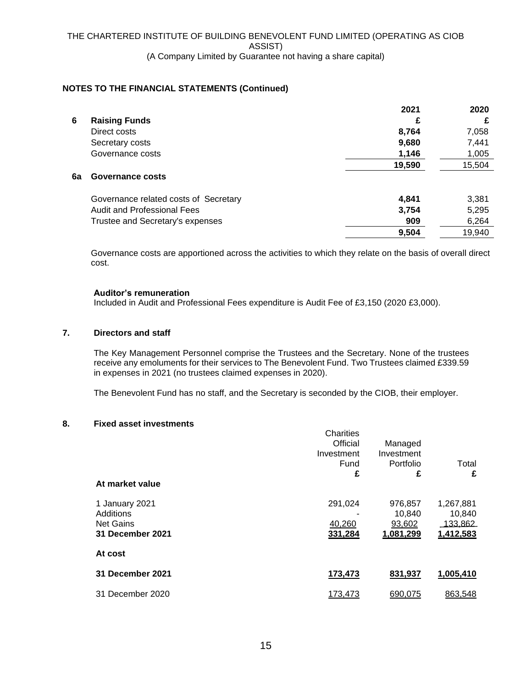# **NOTES TO THE FINANCIAL STATEMENTS (Continued)**

|    |                                       | 2021   | 2020   |
|----|---------------------------------------|--------|--------|
| 6  | <b>Raising Funds</b>                  | £      | £      |
|    | Direct costs                          | 8,764  | 7,058  |
|    | Secretary costs                       | 9,680  | 7,441  |
|    | Governance costs                      | 1,146  | 1,005  |
|    |                                       | 19,590 | 15,504 |
| 6a | Governance costs                      |        |        |
|    | Governance related costs of Secretary | 4,841  | 3,381  |
|    | <b>Audit and Professional Fees</b>    | 3,754  | 5,295  |
|    | Trustee and Secretary's expenses      | 909    | 6,264  |
|    |                                       | 9,504  | 19,940 |
|    |                                       |        |        |

Governance costs are apportioned across the activities to which they relate on the basis of overall direct cost.

# **Auditor's remuneration**

Included in Audit and Professional Fees expenditure is Audit Fee of £3,150 (2020 £3,000).

# **7. Directors and staff**

The Key Management Personnel comprise the Trustees and the Secretary. None of the trustees receive any emoluments for their services to The Benevolent Fund. Two Trustees claimed £339.59 in expenses in 2021 (no trustees claimed expenses in 2020).

The Benevolent Fund has no staff, and the Secretary is seconded by the CIOB, their employer.

# **8. Fixed asset investments**

| At market value                                                     | Charities<br>Official<br>Investment<br>Fund<br>£ | Managed<br>Investment<br>Portfolio<br>£  | Total<br>£                                          |
|---------------------------------------------------------------------|--------------------------------------------------|------------------------------------------|-----------------------------------------------------|
| 1 January 2021<br>Additions<br><b>Net Gains</b><br>31 December 2021 | 291,024<br>40,260<br>331,284                     | 976,857<br>10,840<br>93,602<br>1,081,299 | 1,267,881<br>10,840<br><u>133,862 </u><br>1,412,583 |
| At cost                                                             |                                                  |                                          |                                                     |
| 31 December 2021                                                    | 173,473                                          | 831,937                                  | 1,005,410                                           |
| 31 December 2020                                                    | 173,473                                          | 690,075                                  | 863,548                                             |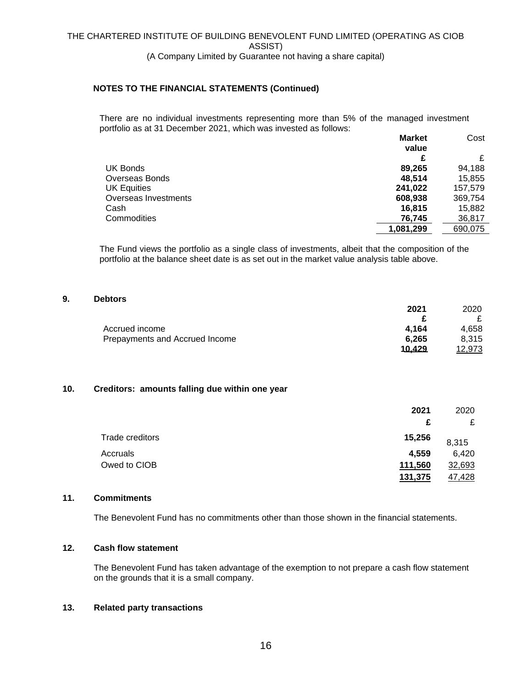# **NOTES TO THE FINANCIAL STATEMENTS (Continued)**

There are no individual investments representing more than 5% of the managed investment portfolio as at 31 December 2021, which was invested as follows: **Market** 

|                      | <b>Market</b> | Cost    |
|----------------------|---------------|---------|
|                      | value         |         |
|                      | £             |         |
| UK Bonds             | 89,265        | 94,188  |
| Overseas Bonds       | 48.514        | 15,855  |
| <b>UK Equities</b>   | 241,022       | 157,579 |
| Overseas Investments | 608,938       | 369,754 |
| Cash                 | 16,815        | 15,882  |
| Commodities          | 76,745        | 36,817  |
|                      | 1,081,299     | 690.075 |

The Fund views the portfolio as a single class of investments, albeit that the composition of the portfolio at the balance sheet date is as set out in the market value analysis table above.

# **9. Debtors**

| .                              |        |        |
|--------------------------------|--------|--------|
|                                | 2021   | 2020   |
|                                |        |        |
| Accrued income                 | 4.164  | 4.658  |
| Prepayments and Accrued Income | 6.265  | 8.315  |
|                                | 10.429 | 12.973 |

# **10. Creditors: amounts falling due within one year**

|                 | 2021    | 2020   |
|-----------------|---------|--------|
|                 | £       | £      |
| Trade creditors | 15,256  | 8,315  |
| Accruals        | 4.559   | 6,420  |
| Owed to CIOB    | 111,560 | 32,693 |
|                 | 131,375 | 47,428 |

# **11. Commitments**

The Benevolent Fund has no commitments other than those shown in the financial statements.

## **12. Cash flow statement**

The Benevolent Fund has taken advantage of the exemption to not prepare a cash flow statement on the grounds that it is a small company.

# **13. Related party transactions**